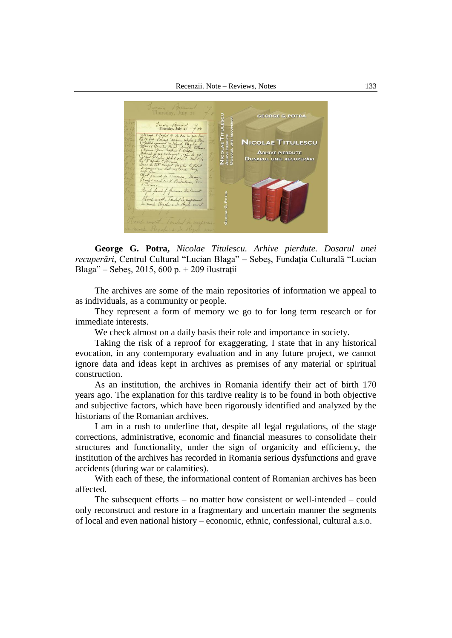

**George G. Potra,** *Nicolae Titulescu. Arhive pierdute. Dosarul unei recuperări*, Centrul Cultural "Lucian Blaga" – Sebeş, Fundaţia Culturală "Lucian Blaga" – Sebeş, 2015, 600 p. + 209 ilustraţii

The archives are some of the main repositories of information we appeal to as individuals, as a community or people.

They represent a form of memory we go to for long term research or for immediate interests.

We check almost on a daily basis their role and importance in society.

Taking the risk of a reproof for exaggerating, I state that in any historical evocation, in any contemporary evaluation and in any future project, we cannot ignore data and ideas kept in archives as premises of any material or spiritual construction.

As an institution, the archives in Romania identify their act of birth 170 years ago. The explanation for this tardive reality is to be found in both objective and subjective factors, which have been rigorously identified and analyzed by the historians of the Romanian archives.

I am in a rush to underline that, despite all legal regulations, of the stage corrections, administrative, economic and financial measures to consolidate their structures and functionality, under the sign of organicity and efficiency, the institution of the archives has recorded in Romania serious dysfunctions and grave accidents (during war or calamities).

With each of these, the informational content of Romanian archives has been affected.

The subsequent efforts – no matter how consistent or well-intended – could only reconstruct and restore in a fragmentary and uncertain manner the segments of local and even national history – economic, ethnic, confessional, cultural a.s.o.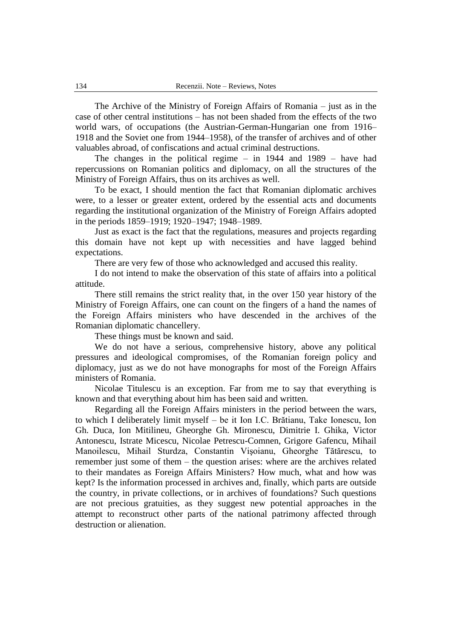The Archive of the Ministry of Foreign Affairs of Romania – just as in the case of other central institutions – has not been shaded from the effects of the two world wars, of occupations (the Austrian-German-Hungarian one from 1916– 1918 and the Soviet one from 1944–1958), of the transfer of archives and of other valuables abroad, of confiscations and actual criminal destructions.

The changes in the political regime – in 1944 and 1989 – have had repercussions on Romanian politics and diplomacy, on all the structures of the Ministry of Foreign Affairs, thus on its archives as well.

To be exact, I should mention the fact that Romanian diplomatic archives were, to a lesser or greater extent, ordered by the essential acts and documents regarding the institutional organization of the Ministry of Foreign Affairs adopted in the periods 1859–1919; 1920–1947; 1948–1989.

Just as exact is the fact that the regulations, measures and projects regarding this domain have not kept up with necessities and have lagged behind expectations.

There are very few of those who acknowledged and accused this reality.

I do not intend to make the observation of this state of affairs into a political attitude.

There still remains the strict reality that, in the over 150 year history of the Ministry of Foreign Affairs, one can count on the fingers of a hand the names of the Foreign Affairs ministers who have descended in the archives of the Romanian diplomatic chancellery.

These things must be known and said.

We do not have a serious, comprehensive history, above any political pressures and ideological compromises, of the Romanian foreign policy and diplomacy, just as we do not have monographs for most of the Foreign Affairs ministers of Romania.

Nicolae Titulescu is an exception. Far from me to say that everything is known and that everything about him has been said and written.

Regarding all the Foreign Affairs ministers in the period between the wars, to which I deliberately limit myself – be it Ion I.C. Brătianu, Take Ionescu, Ion Gh. Duca, Ion Mitilineu, Gheorghe Gh. Mironescu, Dimitrie I. Ghika, Victor Antonescu, Istrate Micescu, Nicolae Petrescu-Comnen, Grigore Gafencu, Mihail Manoilescu, Mihail Sturdza, Constantin Vişoianu, Gheorghe Tătărescu, to remember just some of them – the question arises: where are the archives related to their mandates as Foreign Affairs Ministers? How much, what and how was kept? Is the information processed in archives and, finally, which parts are outside the country, in private collections, or in archives of foundations? Such questions are not precious gratuities, as they suggest new potential approaches in the attempt to reconstruct other parts of the national patrimony affected through destruction or alienation.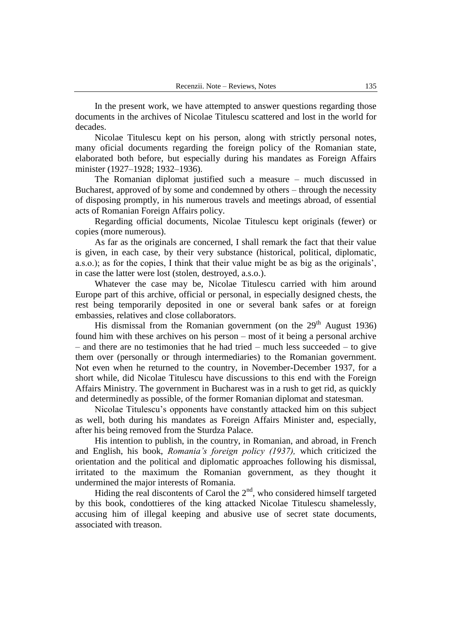In the present work, we have attempted to answer questions regarding those documents in the archives of Nicolae Titulescu scattered and lost in the world for decades.

Nicolae Titulescu kept on his person, along with strictly personal notes, many oficial documents regarding the foreign policy of the Romanian state, elaborated both before, but especially during his mandates as Foreign Affairs minister (1927–1928; 1932–1936).

The Romanian diplomat justified such a measure – much discussed in Bucharest, approved of by some and condemned by others – through the necessity of disposing promptly, in his numerous travels and meetings abroad, of essential acts of Romanian Foreign Affairs policy.

Regarding official documents, Nicolae Titulescu kept originals (fewer) or copies (more numerous).

As far as the originals are concerned, I shall remark the fact that their value is given, in each case, by their very substance (historical, political, diplomatic, a.s.o.); as for the copies, I think that their value might be as big as the originals", in case the latter were lost (stolen, destroyed, a.s.o.).

Whatever the case may be, Nicolae Titulescu carried with him around Europe part of this archive, official or personal, in especially designed chests, the rest being temporarily deposited in one or several bank safes or at foreign embassies, relatives and close collaborators.

His dismissal from the Romanian government (on the  $29<sup>th</sup>$  August 1936) found him with these archives on his person – most of it being a personal archive – and there are no testimonies that he had tried – much less succeeded – to give them over (personally or through intermediaries) to the Romanian government. Not even when he returned to the country, in November-December 1937, for a short while, did Nicolae Titulescu have discussions to this end with the Foreign Affairs Ministry. The government in Bucharest was in a rush to get rid, as quickly and determinedly as possible, of the former Romanian diplomat and statesman.

Nicolae Titulescu"s opponents have constantly attacked him on this subject as well, both during his mandates as Foreign Affairs Minister and, especially, after his being removed from the Sturdza Palace.

His intention to publish, in the country, in Romanian, and abroad, in French and English, his book, *Romania's foreign policy (1937),* which criticized the orientation and the political and diplomatic approaches following his dismissal, irritated to the maximum the Romanian government, as they thought it undermined the major interests of Romania.

Hiding the real discontents of Carol the  $2<sup>nd</sup>$ , who considered himself targeted by this book, condottieres of the king attacked Nicolae Titulescu shamelessly, accusing him of illegal keeping and abusive use of secret state documents, associated with treason.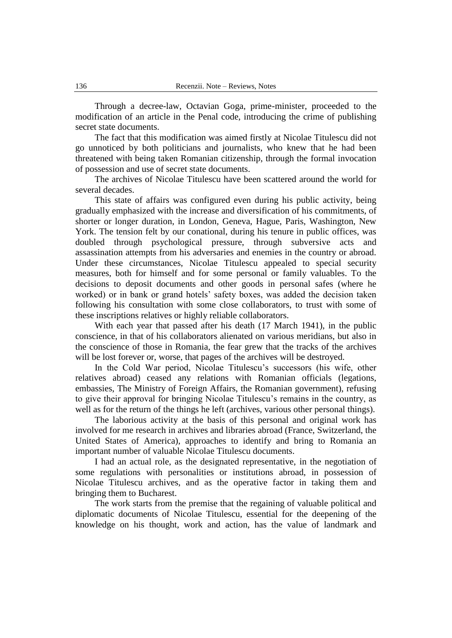Through a decree-law, Octavian Goga, prime-minister, proceeded to the modification of an article in the Penal code, introducing the crime of publishing secret state documents.

The fact that this modification was aimed firstly at Nicolae Titulescu did not go unnoticed by both politicians and journalists, who knew that he had been threatened with being taken Romanian citizenship, through the formal invocation of possession and use of secret state documents.

The archives of Nicolae Titulescu have been scattered around the world for several decades.

This state of affairs was configured even during his public activity, being gradually emphasized with the increase and diversification of his commitments, of shorter or longer duration, in London, Geneva, Hague, Paris, Washington, New York. The tension felt by our conational, during his tenure in public offices, was doubled through psychological pressure, through subversive acts and assassination attempts from his adversaries and enemies in the country or abroad. Under these circumstances, Nicolae Titulescu appealed to special security measures, both for himself and for some personal or family valuables. To the decisions to deposit documents and other goods in personal safes (where he worked) or in bank or grand hotels" safety boxes, was added the decision taken following his consultation with some close collaborators, to trust with some of these inscriptions relatives or highly reliable collaborators.

With each year that passed after his death (17 March 1941), in the public conscience, in that of his collaborators alienated on various meridians, but also in the conscience of those in Romania, the fear grew that the tracks of the archives will be lost forever or, worse, that pages of the archives will be destroyed.

In the Cold War period, Nicolae Titulescu"s successors (his wife, other relatives abroad) ceased any relations with Romanian officials (legations, embassies, The Ministry of Foreign Affairs, the Romanian government), refusing to give their approval for bringing Nicolae Titulescu"s remains in the country, as well as for the return of the things he left (archives, various other personal things).

The laborious activity at the basis of this personal and original work has involved for me research in archives and libraries abroad (France, Switzerland, the United States of America), approaches to identify and bring to Romania an important number of valuable Nicolae Titulescu documents.

I had an actual role, as the designated representative, in the negotiation of some regulations with personalities or institutions abroad, in possession of Nicolae Titulescu archives, and as the operative factor in taking them and bringing them to Bucharest.

The work starts from the premise that the regaining of valuable political and diplomatic documents of Nicolae Titulescu, essential for the deepening of the knowledge on his thought, work and action, has the value of landmark and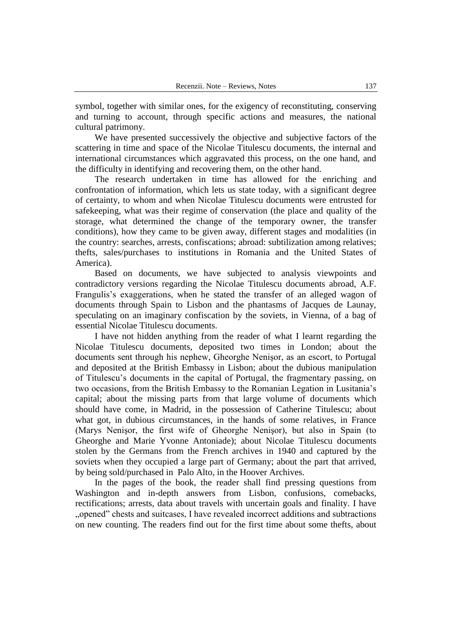symbol, together with similar ones, for the exigency of reconstituting, conserving and turning to account, through specific actions and measures, the national cultural patrimony.

We have presented successively the objective and subjective factors of the scattering in time and space of the Nicolae Titulescu documents, the internal and international circumstances which aggravated this process, on the one hand, and the difficulty in identifying and recovering them, on the other hand.

The research undertaken in time has allowed for the enriching and confrontation of information, which lets us state today, with a significant degree of certainty, to whom and when Nicolae Titulescu documents were entrusted for safekeeping, what was their regime of conservation (the place and quality of the storage, what determined the change of the temporary owner, the transfer conditions), how they came to be given away, different stages and modalities (in the country: searches, arrests, confiscations; abroad: subtilization among relatives; thefts, sales/purchases to institutions in Romania and the United States of America).

Based on documents, we have subjected to analysis viewpoints and contradictory versions regarding the Nicolae Titulescu documents abroad, A.F. Frangulis's exaggerations, when he stated the transfer of an alleged wagon of documents through Spain to Lisbon and the phantasms of Jacques de Launay, speculating on an imaginary confiscation by the soviets, in Vienna, of a bag of essential Nicolae Titulescu documents.

I have not hidden anything from the reader of what I learnt regarding the Nicolae Titulescu documents, deposited two times in London; about the documents sent through his nephew, Gheorghe Nenişor, as an escort, to Portugal and deposited at the British Embassy in Lisbon; about the dubious manipulation of Titulescu"s documents in the capital of Portugal, the fragmentary passing, on two occasions, from the British Embassy to the Romanian Legation in Lusitania"s capital; about the missing parts from that large volume of documents which should have come, in Madrid, in the possession of Catherine Titulescu; about what got, in dubious circumstances, in the hands of some relatives, in France (Marys Nenişor, the first wife of Gheorghe Nenişor), but also in Spain (to Gheorghe and Marie Yvonne Antoniade); about Nicolae Titulescu documents stolen by the Germans from the French archives in 1940 and captured by the soviets when they occupied a large part of Germany; about the part that arrived, by being sold/purchased in Palo Alto, in the Hoover Archives.

In the pages of the book, the reader shall find pressing questions from Washington and in-depth answers from Lisbon, confusions, comebacks, rectifications; arrests, data about travels with uncertain goals and finality. I have "opened" chests and suitcases, I have revealed incorrect additions and subtractions on new counting. The readers find out for the first time about some thefts, about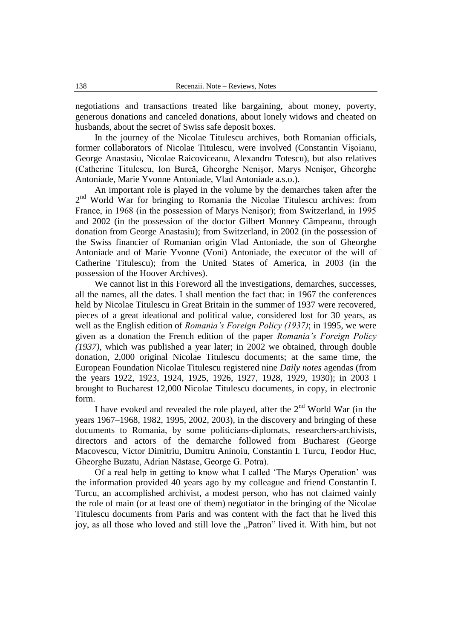negotiations and transactions treated like bargaining, about money, poverty, generous donations and canceled donations, about lonely widows and cheated on husbands, about the secret of Swiss safe deposit boxes.

In the journey of the Nicolae Titulescu archives, both Romanian officials, former collaborators of Nicolae Titulescu, were involved (Constantin Vişoianu, George Anastasiu, Nicolae Raicoviceanu, Alexandru Totescu), but also relatives (Catherine Titulescu, Ion Burcă, Gheorghe Nenişor, Marys Nenişor, Gheorghe Antoniade, Marie Yvonne Antoniade, Vlad Antoniade a.s.o.).

An important role is played in the volume by the demarches taken after the 2<sup>nd</sup> World War for bringing to Romania the Nicolae Titulescu archives: from France, in 1968 (in the possession of Marys Nenişor); from Switzerland, in 1995 and 2002 (in the possession of the doctor Gilbert Monney Câmpeanu, through donation from George Anastasiu); from Switzerland, in 2002 (in the possession of the Swiss financier of Romanian origin Vlad Antoniade, the son of Gheorghe Antoniade and of Marie Yvonne (Voni) Antoniade, the executor of the will of Catherine Titulescu); from the United States of America, in 2003 (in the possession of the Hoover Archives).

We cannot list in this Foreword all the investigations, demarches, successes, all the names, all the dates. I shall mention the fact that: in 1967 the conferences held by Nicolae Titulescu in Great Britain in the summer of 1937 were recovered, pieces of a great ideational and political value, considered lost for 30 years, as well as the English edition of *Romania's Foreign Policy (1937)*; in 1995, we were given as a donation the French edition of the paper *Romania's Foreign Policy (1937)*, which was published a year later; in 2002 we obtained, through double donation, 2,000 original Nicolae Titulescu documents; at the same time, the European Foundation Nicolae Titulescu registered nine *Daily notes* agendas (from the years 1922, 1923, 1924, 1925, 1926, 1927, 1928, 1929, 1930); in 2003 I brought to Bucharest 12,000 Nicolae Titulescu documents, in copy, in electronic form.

I have evoked and revealed the role played, after the  $2<sup>nd</sup>$  World War (in the years 1967–1968, 1982, 1995, 2002, 2003), in the discovery and bringing of these documents to Romania, by some politicians-diplomats, researchers-archivists, directors and actors of the demarche followed from Bucharest (George Macovescu, Victor Dimitriu, Dumitru Aninoiu, Constantin I. Turcu, Teodor Huc, Gheorghe Buzatu, Adrian Năstase, George G. Potra).

Of a real help in getting to know what I called "The Marys Operation" was the information provided 40 years ago by my colleague and friend Constantin I. Turcu, an accomplished archivist, a modest person, who has not claimed vainly the role of main (or at least one of them) negotiator in the bringing of the Nicolae Titulescu documents from Paris and was content with the fact that he lived this joy, as all those who loved and still love the "Patron" lived it. With him, but not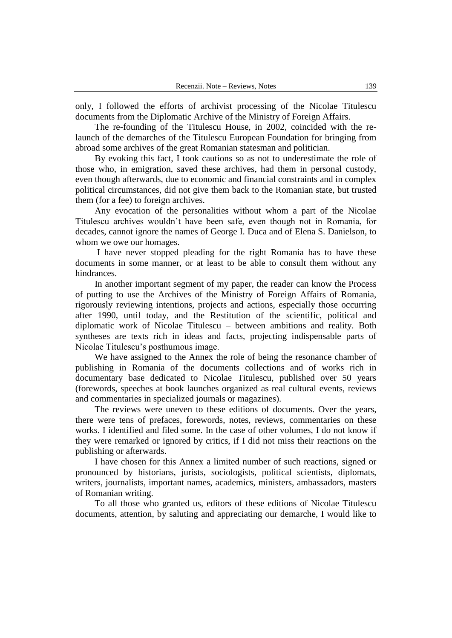only, I followed the efforts of archivist processing of the Nicolae Titulescu documents from the Diplomatic Archive of the Ministry of Foreign Affairs.

The re-founding of the Titulescu House, in 2002, coincided with the relaunch of the demarches of the Titulescu European Foundation for bringing from abroad some archives of the great Romanian statesman and politician.

By evoking this fact, I took cautions so as not to underestimate the role of those who, in emigration, saved these archives, had them in personal custody, even though afterwards, due to economic and financial constraints and in complex political circumstances, did not give them back to the Romanian state, but trusted them (for a fee) to foreign archives.

Any evocation of the personalities without whom a part of the Nicolae Titulescu archives wouldn"t have been safe, even though not in Romania, for decades, cannot ignore the names of George I. Duca and of Elena S. Danielson, to whom we owe our homages.

I have never stopped pleading for the right Romania has to have these documents in some manner, or at least to be able to consult them without any hindrances.

In another important segment of my paper, the reader can know the Process of putting to use the Archives of the Ministry of Foreign Affairs of Romania, rigorously reviewing intentions, projects and actions, especially those occurring after 1990, until today, and the Restitution of the scientific, political and diplomatic work of Nicolae Titulescu – between ambitions and reality. Both syntheses are texts rich in ideas and facts, projecting indispensable parts of Nicolae Titulescu"s posthumous image.

We have assigned to the Annex the role of being the resonance chamber of publishing in Romania of the documents collections and of works rich in documentary base dedicated to Nicolae Titulescu, published over 50 years (forewords, speeches at book launches organized as real cultural events, reviews and commentaries in specialized journals or magazines).

The reviews were uneven to these editions of documents. Over the years, there were tens of prefaces, forewords, notes, reviews, commentaries on these works. I identified and filed some. In the case of other volumes, I do not know if they were remarked or ignored by critics, if I did not miss their reactions on the publishing or afterwards.

I have chosen for this Annex a limited number of such reactions, signed or pronounced by historians, jurists, sociologists, political scientists, diplomats, writers, journalists, important names, academics, ministers, ambassadors, masters of Romanian writing.

To all those who granted us, editors of these editions of Nicolae Titulescu documents, attention, by saluting and appreciating our demarche, I would like to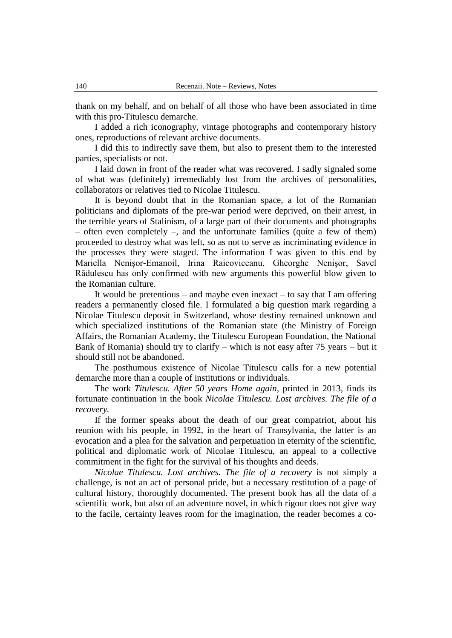thank on my behalf, and on behalf of all those who have been associated in time with this pro-Titulescu demarche.

I added a rich iconography, vintage photographs and contemporary history ones, reproductions of relevant archive documents.

I did this to indirectly save them, but also to present them to the interested parties, specialists or not.

I laid down in front of the reader what was recovered. I sadly signaled some of what was (definitely) irremediably lost from the archives of personalities, collaborators or relatives tied to Nicolae Titulescu.

It is beyond doubt that in the Romanian space, a lot of the Romanian politicians and diplomats of the pre-war period were deprived, on their arrest, in the terrible years of Stalinism, of a large part of their documents and photographs – often even completely –, and the unfortunate families (quite a few of them) proceeded to destroy what was left, so as not to serve as incriminating evidence in the processes they were staged. The information I was given to this end by Mariella Nenişor-Emanoil, Irina Raicoviceanu, Gheorghe Nenişor, Savel Rădulescu has only confirmed with new arguments this powerful blow given to the Romanian culture.

It would be pretentious – and maybe even inexact – to say that I am offering readers a permanently closed file. I formulated a big question mark regarding a Nicolae Titulescu deposit in Switzerland, whose destiny remained unknown and which specialized institutions of the Romanian state (the Ministry of Foreign Affairs, the Romanian Academy, the Titulescu European Foundation, the National Bank of Romania) should try to clarify – which is not easy after 75 years – but it should still not be abandoned.

The posthumous existence of Nicolae Titulescu calls for a new potential demarche more than a couple of institutions or individuals.

The work *Titulescu. After 50 years Home again,* printed in 2013*,* finds its fortunate continuation in the book *Nicolae Titulescu. Lost archives. The file of a recovery.*

If the former speaks about the death of our great compatriot, about his reunion with his people, in 1992, in the heart of Transylvania, the latter is an evocation and a plea for the salvation and perpetuation in eternity of the scientific, political and diplomatic work of Nicolae Titulescu, an appeal to a collective commitment in the fight for the survival of his thoughts and deeds.

*Nicolae Titulescu. Lost archives. The file of a recovery* is not simply a challenge, is not an act of personal pride, but a necessary restitution of a page of cultural history, thoroughly documented. The present book has all the data of a scientific work, but also of an adventure novel, in which rigour does not give way to the facile, certainty leaves room for the imagination, the reader becomes a co